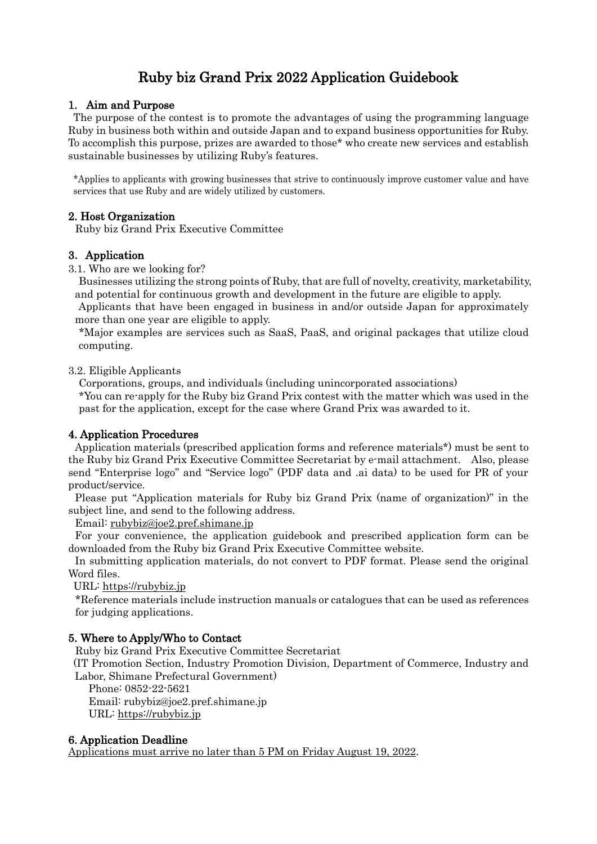# Ruby biz Grand Prix 2022 Application Guidebook

# 1. Aim and Purpose

The purpose of the contest is to promote the advantages of using the programming language Ruby in business both within and outside Japan and to expand business opportunities for Ruby. To accomplish this purpose, prizes are awarded to those\* who create new services and establish sustainable businesses by utilizing Ruby's features.

\*Applies to applicants with growing businesses that strive to continuously improve customer value and have services that use Ruby and are widely utilized by customers.

## 2. Host Organization

Ruby biz Grand Prix Executive Committee

## 3.Application

3.1. Who are we looking for?

Businesses utilizing the strong points of Ruby, that are full of novelty, creativity, marketability, and potential for continuous growth and development in the future are eligible to apply.

Applicants that have been engaged in business in and/or outside Japan for approximately more than one year are eligible to apply.

\*Major examples are services such as SaaS, PaaS, and original packages that utilize cloud computing.

#### 3.2. Eligible Applicants

Corporations, groups, and individuals (including unincorporated associations)

\*You can re-apply for the Ruby biz Grand Prix contest with the matter which was used in the past for the application, except for the case where Grand Prix was awarded to it.

#### 4. Application Procedures

Application materials (prescribed application forms and reference materials\*) must be sent to the Ruby biz Grand Prix Executive Committee Secretariat by e-mail attachment. Also, please send "Enterprise logo" and "Service logo" (PDF data and .ai data) to be used for PR of your product/service.

Please put "Application materials for Ruby biz Grand Prix (name of organization)" in the subject line, and send to the following address.

Email: [rubybiz@joe2.pref.shimane.jp](mailto:rubybiz@joe2.pref.shimane.jp)

For your convenience, the application guidebook and prescribed application form can be downloaded from the Ruby biz Grand Prix Executive Committee website.

In submitting application materials, do not convert to PDF format. Please send the original Word files.

URL: [https://rubybiz.jp](https://rubybiz.jp/)

\*Reference materials include instruction manuals or catalogues that can be used as references for judging applications.

#### 5. Where to Apply/Who to Contact

Ruby biz Grand Prix Executive Committee Secretariat

(IT Promotion Section, Industry Promotion Division, Department of Commerce, Industry and Labor, Shimane Prefectural Government)

Phone: 0852-22-5621

Email: rubybiz@joe2.pref.shimane.jp URL: [https://rubybiz.jp](https://rubybiz.jp/)

#### 6. Application Deadline

Applications must arrive no later than 5 PM on Friday August 19, 2022.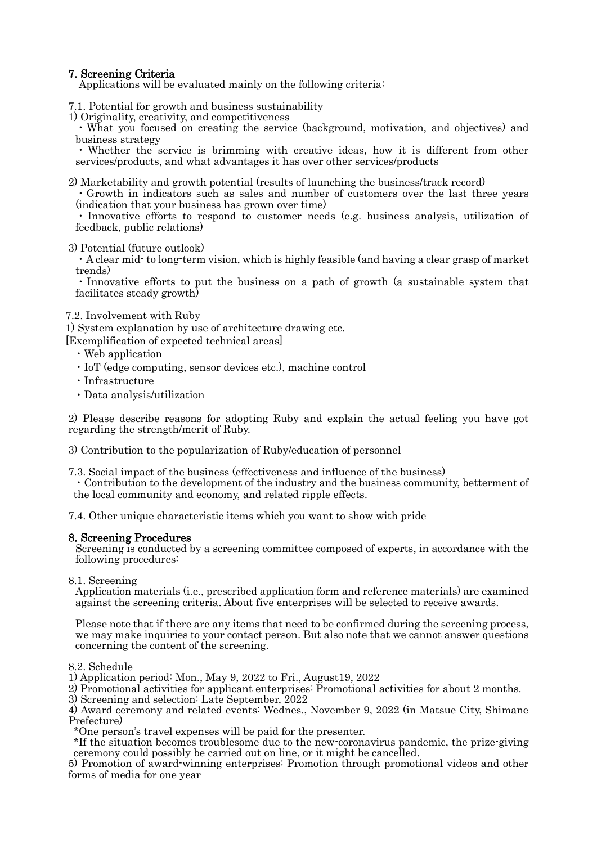# 7. Screening Criteria

Applications will be evaluated mainly on the following criteria:

- 7.1. Potential for growth and business sustainability
- 1) Originality, creativity, and competitiveness

・What you focused on creating the service (background, motivation, and objectives) and business strategy

・ Whether the service is brimming with creative ideas, how it is different from other services/products, and what advantages it has over other services/products

2) Marketability and growth potential (results of launching the business/track record)

・Growth in indicators such as sales and number of customers over the last three years (indication that your business has grown over time)

Innovative efforts to respond to customer needs (e.g. business analysis, utilization of feedback, public relations)

3) Potential (future outlook)

・A clear mid- to long-term vision, which is highly feasible (and having a clear grasp of market trends)

・Innovative efforts to put the business on a path of growth (a sustainable system that facilitates steady growth)

#### 7.2. Involvement with Ruby

1) System explanation by use of architecture drawing etc. [Exemplification of expected technical areas]

- ・Web application
- ・IoT (edge computing, sensor devices etc.), machine control
- ・Infrastructure
- ・Data analysis/utilization

2) Please describe reasons for adopting Ruby and explain the actual feeling you have got regarding the strength/merit of Ruby.

3) Contribution to the popularization of Ruby/education of personnel

7.3. Social impact of the business (effectiveness and influence of the business)

・Contribution to the development of the industry and the business community, betterment of the local community and economy, and related ripple effects.

7.4. Other unique characteristic items which you want to show with pride

#### 8. Screening Procedures

Screening is conducted by a screening committee composed of experts, in accordance with the following procedures:

8.1. Screening

Application materials (i.e., prescribed application form and reference materials) are examined against the screening criteria. About five enterprises will be selected to receive awards.

Please note that if there are any items that need to be confirmed during the screening process, we may make inquiries to your contact person. But also note that we cannot answer questions concerning the content of the screening.

#### 8.2. Schedule

1) Application period: Mon., May 9, 2022 to Fri., August19, 2022

- 2) Promotional activities for applicant enterprises: Promotional activities for about 2 months.
- 3) Screening and selection: Late September, 2022

4) Award ceremony and related events: Wednes., November 9, 2022 (in Matsue City, Shimane Prefecture)

\*One person's travel expenses will be paid for the presenter.

\*If the situation becomes troublesome due to the new-coronavirus pandemic, the prize-giving ceremony could possibly be carried out on line, or it might be cancelled.

5) Promotion of award-winning enterprises: Promotion through promotional videos and other forms of media for one year